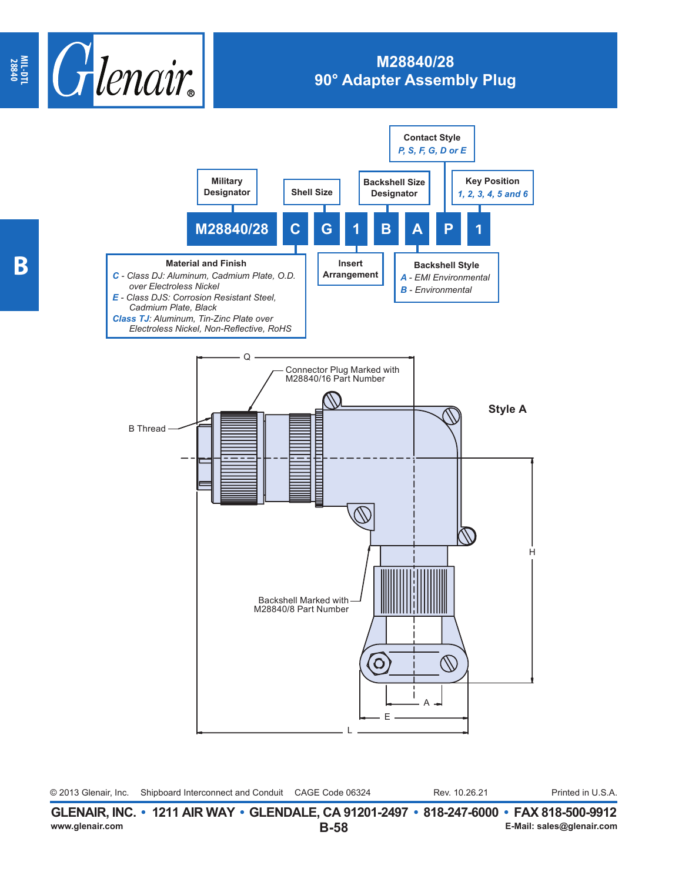

## **M28840/28 90° Adapter Assembly Plug**



| ------------- | <u>isii amaalada waxaa dagaalada ahaa ahaa dada waddaa dadaa dada</u> |                 |               |                   |
|---------------|-----------------------------------------------------------------------|-----------------|---------------|-------------------|
|               | © 2013 Glenair, Inc. Shipboard Interconnect and Conduit               | CAGE Code 06324 | Rev. 10.26.21 | Printed in U.S.A. |

**B-58 GLENAIR, INC. • 1211 AIR WAY • GLENDALE, CA 91201-2497 • 818-247-6000 • FAX 818-500-9912**<br>E-Mail: sales@glenair.com **www.glenair.com E-Mail: sales@glenair.com**